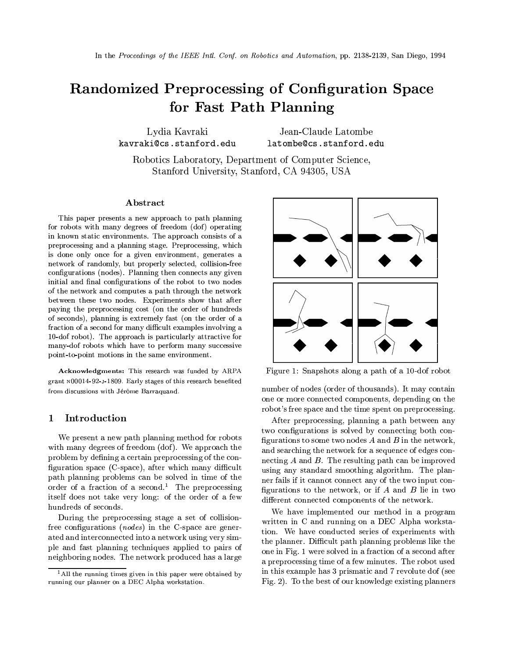# **Randomized Preprocessing of Configuration Space** for Fast Path Planning

Lvdia Kavraki kavraki@cs.stanford.edu

Jean-Claude Latombe latombe@cs.stanford.edu

Robotics Laboratory, Department of Computer Science, Stanford University, Stanford, CA 94305, USA

### **Abstract**

This paper presents a new approach to path planning for robots with many degrees of freedom (dof) operating in known static environments. The approach consists of a preprocessing and a planning stage. Preprocessing, which is done only once for a given environment, generates a network of randomly, but properly selected, collision-free configurations (nodes). Planning then connects any given initial and final configurations of the robot to two nodes of the network and computes a path through the network between these two nodes. Experiments show that after paying the preprocessing cost (on the order of hundreds of seconds), planning is extremely fast (on the order of a fraction of a second for many difficult examples involving a 10 dof robot). The approach is particularly attractive for many-dof robots which have to perform many successive point-to-point motions in the same environment.

Acknowledgments: This research was funded by ARPA grant N00014-92-J-1809. Early stages of this research benefited from discussions with Jérôme Barraquand.

#### $\mathbf{1}$ Introduction

We present a new path planning method for robots with many degrees of freedom (dof). We approach the problem by defining a certain preprocessing of the configuration space (C-space), after which many difficult path planning problems can be solved in time of the order of a fraction of a second.<sup>1</sup> The preprocessing itself does not take very long: of the order of a few hundreds of seconds.

During the preprocessing stage a set of collisionfree configurations *(nodes)* in the C-space are generated and interconnected into a network using very simple and fast planning techniques applied to pairs of neighboring nodes. The network produced has a large



Figure 1: Snapshots along a path of a 10-dof robot

number of nodes (order of thousands). It may contain one or more connected components, depending on the robot's free space and the time spent on preprocessing.

After preprocessing, planning a path between any two configurations is solved by connecting both configurations to some two nodes  $A$  and  $B$  in the network, and searching the network for a sequence of edges connecting  $A$  and  $B$ . The resulting path can be improved using any standard smoothing algorithm. The planner fails if it cannot connect any of the two input configurations to the network, or if  $A$  and  $B$  lie in two different connected components of the network.

We have implemented our method in a program written in C and running on a DEC Alpha workstation. We have conducted series of experiments with the planner. Difficult path planning problems like the one in Fig. 1 were solved in a fraction of a second after a preprocessing time of a few minutes. The robot used in this example has 3 prismatic and 7 revolute dof (see Fig. 2). To the best of our knowledge existing planners

 $1$  All the running times given in this paper were obtained by running our planner on a DEC Alpha workstation.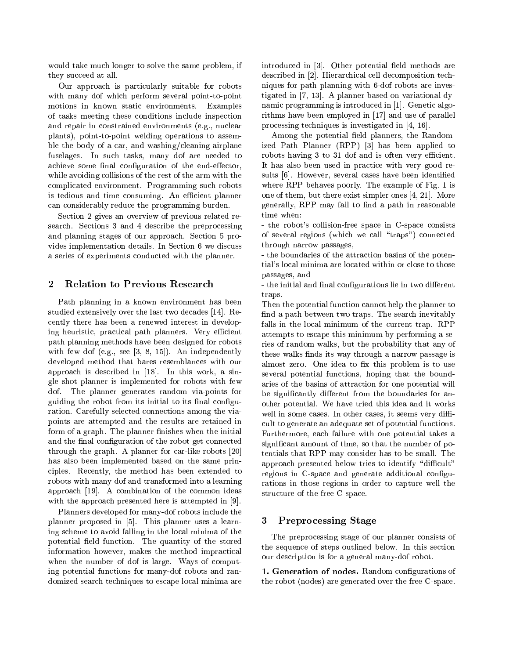would take much longer to solve the same problem, if they succeed at all.

Our approach is particularly suitable for robots with many dof which perform several point-to-point motions in known static environments. Examples of tasks meeting these conditions include inspection and repair in constrained environments (e.g., nuclear plants), point-to-point welding operations to assemble the body of a car, and washing/cleaning airplane fuselages. In such tasks, many dof are needed to achieve some final configuration of the end-effector, while avoiding collisions of the rest of the arm with the complicated environment. Programming such robots is tedious and time consuming. An efficient planner can considerably reduce the programming burden.

Section 2 gives an overview of previous related research. Sections 3 and 4 describe the preprocessing and planning stages of our approach. Section 5 provides implementation details. In Section 6 we discuss a series of experiments conducted with the planner.

#### $\overline{2}$ **Relation to Previous Research**

Path planning in a known environment has been studied extensively over the last two decades [14]. Recently there has been a renewed interest in developing heuristic, practical path planners. Very efficient path planning methods have been designed for robots with few dof (e.g., see  $[3, 8, 15]$ ). An independently developed method that bares resemblances with our approach is described in [18]. In this work, a single shot planner is implemented for robots with few dof. The planner generates random via-points for guiding the robot from its initial to its final configuration. Carefully selected connections among the viapoints are attempted and the results are retained in form of a graph. The planner finishes when the initial and the final configuration of the robot get connected through the graph. A planner for car-like robots [20] has also been implemented based on the same principles. Recently, the method has been extended to robots with many dof and transformed into a learning approach [19]. A combination of the common ideas with the approach presented here is attempted in [9].

Planners developed for many-dof robots include the planner proposed in [5]. This planner uses a learning scheme to avoid falling in the local minima of the potential field function. The quantity of the stored information however, makes the method impractical when the number of dof is large. Ways of computing potential functions for many-dof robots and randomized search techniques to escape local minima are introduced in [3]. Other potential field methods are described in [2]. Hierarchical cell decomposition techniques for path planning with 6-dof robots are investigated in [7, 13]. A planner based on variational dynamic programming is introduced in [1]. Genetic algorithms have been employed in [17] and use of parallel processing techniques is investigated in  $[4, 16]$ .

Among the potential field planners, the Randomized Path Planner (RPP) [3] has been applied to robots having 3 to 31 dof and is often very efficient. It has also been used in practice with very good results [6]. However, several cases have been identified where RPP behaves poorly. The example of Fig. 1 is one of them, but there exist simpler ones  $[4, 21]$ . More generally, RPP may fail to find a path in reasonable time when:

- the robot's collision-free space in C-space consists of several regions (which we call "traps") connected through narrow passages,

- the boundaries of the attraction basins of the potential's local minima are located within or close to those passages, and

- the initial and final configurations lie in two different traps.

Then the potential function cannot help the planner to find a path between two traps. The search inevitably falls in the local minimum of the current trap. RPP attempts to escape this minimum by performing a series of random walks, but the probability that any of these walks finds its way through a narrow passage is almost zero. One idea to fix this problem is to use several potential functions, hoping that the boundaries of the basins of attraction for one potential will be significantly different from the boundaries for another potential. We have tried this idea and it works well in some cases. In other cases, it seems very difficult to generate an adequate set of potential functions. Furthermore, each failure with one potential takes a significant amount of time, so that the number of potentials that RPP may consider has to be small. The approach presented below tries to identify "difficult" regions in C-space and generate additional configurations in those regions in order to capture well the structure of the free C-space.

#### 3 **Preprocessing Stage**

The preprocessing stage of our planner consists of the sequence of steps outlined below. In this section our description is for a general many-dof robot.

1. Generation of nodes. Random configurations of the robot (nodes) are generated over the free C-space.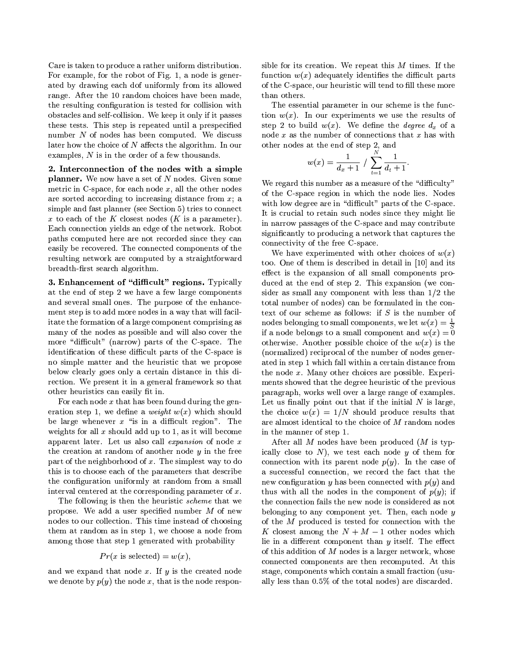Care is taken to produce a rather uniform distribution. For example, for the robot of Fig. 1, a node is generated by drawing each dof uniformly from its allowed range. After the 10 random choices have been made, the resulting configuration is tested for collision with obstacles and self-collision. We keep it only if it passes these tests. This step is repeated until a prespecified number  $N$  of nodes has been computed. We discuss later how the choice of  $N$  affects the algorithm. In our examples,  $N$  is in the order of a few thousands.

2. Interconnection of the nodes with a simple **planner.** We now have a set of  $N$  nodes. Given some metric in C-space, for each node  $x$ , all the other nodes are sorted according to increasing distance from  $x$ ; a simple and fast planner (see Section 5) tries to connect x to each of the K closest nodes  $(K$  is a parameter). Each connection yields an edge of the network. Robot paths computed here are not recorded since they can easily be recovered. The connected components of the resulting network are computed by a straightforward breadth-first search algorithm.

3. Enhancement of "difficult" regions. Typically at the end of step 2 we have a few large components and several small ones. The purpose of the enhancement step is to add more nodes in a way that will facilitate the formation of a large component comprising as many of the nodes as possible and will also cover the more "difficult" (narrow) parts of the C-space. The identification of these difficult parts of the C-space is no simple matter and the heuristic that we propose below clearly goes only a certain distance in this direction. We present it in a general framework so that other heuristics can easily fit in.

For each node  $x$  that has been found during the generation step 1, we define a *weight*  $w(x)$  which should be large whenever  $x$  "is in a difficult region". The weights for all  $x$  should add up to 1, as it will become apparent later. Let us also call *expansion* of node x the creation at random of another node  $y$  in the free part of the neighborhood of  $x$ . The simplest way to do this is to choose each of the parameters that describe the configuration uniformly at random from a small interval centered at the corresponding parameter of  $x$ .

The following is then the heuristic *scheme* that we propose. We add a user specified number  $M$  of new nodes to our collection. This time instead of choosing them at random as in step 1, we choose a node from among those that step 1 generated with probability

### $Pr(x \text{ is selected}) = w(x),$

and we expand that node  $x$ . If  $y$  is the created node we denote by  $p(y)$  the node x, that is the node responsible for its creation. We repeat this  $M$  times. If the function  $w(x)$  adequately identifies the difficult parts of the C-space, our heuristic will tend to fill these more than others.

The essential parameter in our scheme is the function  $w(x)$ . In our experiments we use the results of step 2 to build  $w(x)$ . We define the *degree*  $d_x$  of a node  $x$  as the number of connections that  $x$  has with other nodes at the end of step 2, and

$$
w(x) = \frac{1}{d_x + 1} / \sum_{t=1}^{N} \frac{1}{d_t + 1}
$$

We regard this number as a measure of the "difficulty" of the C-space region in which the node lies. Nodes with low degree are in "difficult" parts of the C-space. It is crucial to retain such nodes since they might lie in narrow passages of the C-space and may contribute significantly to producing a network that captures the connectivity of the free C-space.

We have experimented with other choices of  $w(x)$ too. One of them is described in detail in [10] and its effect is the expansion of all small components produced at the end of step 2. This expansion (we consider as small any component with less than  $1/2$  the total number of nodes) can be formulated in the context of our scheme as follows: if  $S$  is the number of nodes belonging to small components, we let  $w(x) = \frac{1}{5}$ if a node belongs to a small component and  $w(x) = 0$ otherwise. Another possible choice of the  $w(x)$  is the (normalized) reciprocal of the number of nodes generated in step 1 which fall within a certain distance from the node  $x$ . Many other choices are possible. Experiments showed that the degree heuristic of the previous paragraph, works well over a large range of examples. Let us finally point out that if the initial  $N$  is large, the choice  $w(x) = 1/N$  should produce results that are almost identical to the choice of M random nodes in the manner of step 1.

After all  $M$  nodes have been produced  $(M \text{ is typ-}$ ically close to  $N$ ), we test each node  $y$  of them for connection with its parent node  $p(y)$ . In the case of a successful connection, we record the fact that the new configuration y has been connected with  $p(y)$  and thus with all the nodes in the component of  $p(y)$ ; if the connection fails the new node is considered as not belonging to any component yet. Then, each node  $y$ of the  $M$  produced is tested for connection with the K closest among the  $N + M - 1$  other nodes which lie in a different component than  $y$  itself. The effect of this addition of  $M$  nodes is a larger network, whose connected components are then recomputed. At this stage, components which contain a small fraction (usually less than 0.5% of the total nodes) are discarded.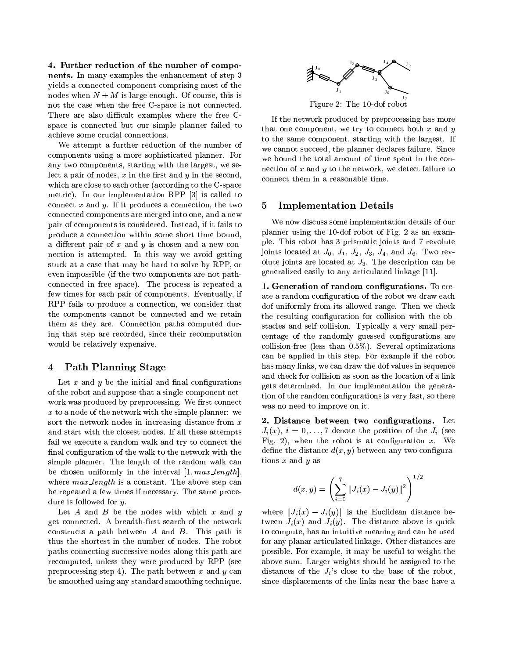4. Further reduction of the number of components. In many examples the enhancement of step 3 yields a connected component comprising most of the nodes when  $N + M$  is large enough. Of course, this is not the case when the free C-space is not connected. There are also difficult examples where the free Cspace is connected but our simple planner failed to achieve some crucial connections.

We attempt a further reduction of the number of components using a more sophisticated planner. For any two components, starting with the largest, we select a pair of nodes,  $x$  in the first and  $y$  in the second, which are close to each other (according to the C-space metric). In our implementation RPP [3] is called to connect  $x$  and  $y$ . If it produces a connection, the two connected components are merged into one, and a new pair of components is considered. Instead, if it fails to produce a connection within some short time bound, a different pair of  $x$  and  $y$  is chosen and a new connection is attempted. In this way we avoid getting stuck at a case that may be hard to solve by RPP, or even impossible (if the two components are not pathconnected in free space). The process is repeated a few times for each pair of components. Eventually, if RPP fails to produce a connection, we consider that the components cannot be connected and we retain them as they are. Connection paths computed during that step are recorded, since their recomputation would be relatively expensive.

#### **Path Planning Stage**  $\overline{\mathbf{4}}$

Let  $x$  and  $y$  be the initial and final configurations of the robot and suppose that a single-component network was produced by preprocessing. We first connect  $x$  to a node of the network with the simple planner: we sort the network nodes in increasing distance from  $x$ and start with the closest nodes. If all these attempts fail we execute a random walk and try to connect the final configuration of the walk to the network with the simple planner. The length of the random walk can be chosen uniformly in the interval  $[1, max.length]$ , where  $max_length$  is a constant. The above step can be repeated a few times if necessary. The same procedure is followed for  $y$ .

Let  $A$  and  $B$  be the nodes with which  $x$  and  $y$ get connected. A breadth-first search of the network constructs a path between  $A$  and  $B$ . This path is thus the shortest in the number of nodes. The robot paths connecting successive nodes along this path are recomputed, unless they were produced by RPP (see preprocessing step 4). The path between  $x$  and  $y$  can be smoothed using any standard smoothing technique.



If the network produced by preprocessing has more that one component, we try to connect both  $x$  and  $y$ to the same component, starting with the largest. If we cannot succeed, the planner declares failure. Since we bound the total amount of time spent in the connection of  $x$  and  $y$  to the network, we detect failure to connect them in a reasonable time.

#### $\overline{5}$ **Implementation Details**

We now discuss some implementation details of our planner using the 10-dof robot of Fig. 2 as an example. This robot has 3 prismatic joints and 7 revolute joints located at  $J_0$ ,  $J_1$ ,  $J_2$ ,  $J_3$ ,  $J_4$ , and  $J_6$ . Two revolute joints are located at  $J_3$ . The description can be generalized easily to any articulated linkage [11].

1. Generation of random configurations. To create a random configuration of the robot we draw each dof uniformly from its allowed range. Then we check the resulting configuration for collision with the obstacles and self collision. Typically a very small percentage of the randomly guessed configurations are collision-free (less than  $0.5\%$ ). Several optimizations can be applied in this step. For example if the robot has many links, we can draw the dof values in sequence and check for collision as soon as the location of a link gets determined. In our implementation the generation of the random configurations is very fast, so there was no need to improve on it.

2. Distance between two configurations. Let  $J_i(x)$ ,  $i = 0, \ldots, 7$  denote the position of the  $J_i$  (see Fig. 2), when the robot is at configuration x. We define the distance  $d(x, y)$  between any two configurations  $x$  and  $y$  as

$$
d(x,y) = \left(\sum_{i=0}^{7} ||J_i(x) - J_i(y)||^2\right)^{1/2}
$$

where  $||J_i(x) - J_i(y)||$  is the Euclidean distance between  $J_i(x)$  and  $J_i(y)$ . The distance above is quick to compute, has an intuitive meaning and can be used for any planar articulated linkage. Other distances are possible. For example, it may be useful to weight the above sum. Larger weights should be assigned to the distances of the  $J_i$ 's close to the base of the robot, since displacements of the links near the base have a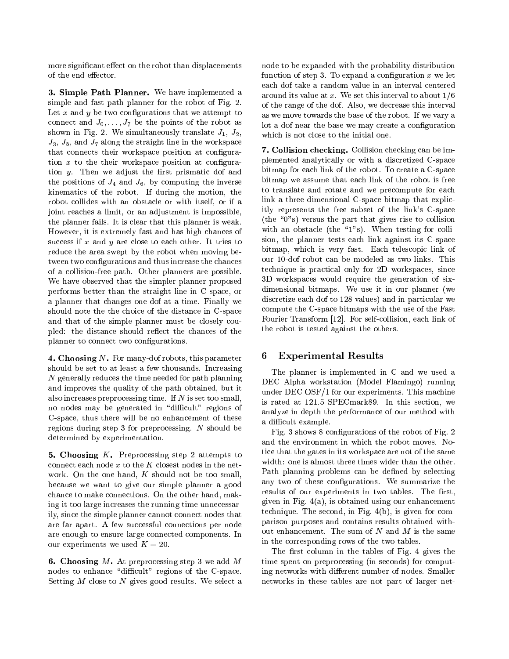more significant effect on the robot than displacements of the end effector.

3. Simple Path Planner. We have implemented a simple and fast path planner for the robot of Fig. 2. Let  $x$  and  $y$  be two configurations that we attempt to connect and  $J_0, \ldots, J_7$  be the points of the robot as shown in Fig. 2. We simultaneously translate  $J_1$ ,  $J_2$ ,  $J_3$ ,  $J_5$ , and  $J_7$  along the straight line in the workspace that connects their workspace position at configuration  $x$  to the their workspace position at configuration  $y$ . Then we adjust the first prismatic dof and the positions of  $J_4$  and  $J_6$ , by computing the inverse kinematics of the robot. If during the motion, the robot collides with an obstacle or with itself, or if a joint reaches a limit, or an adjustment is impossible, the planner fails. It is clear that this planner is weak. However, it is extremely fast and has high chances of success if  $x$  and  $y$  are close to each other. It tries to reduce the area swept by the robot when moving between two configurations and thus increase the chances of a collision-free path. Other planners are possible. We have observed that the simpler planner proposed performs better than the straight line in C-space, or a planner that changes one dof at a time. Finally we should note the the choice of the distance in C-space and that of the simple planner must be closely coupled: the distance should reflect the chances of the planner to connect two configurations.

**4. Choosing N.** For many-dof robots, this parameter should be set to at least a few thousands. Increasing N generally reduces the time needed for path planning and improves the quality of the path obtained, but it also increases preprocessing time. If  $N$  is set too small, no nodes may be generated in "difficult" regions of C-space, thus there will be no enhancement of these regions during step 3 for preprocessing.  $N$  should be determined by experimentation.

**5. Choosing K.** Preprocessing step 2 attempts to connect each node  $x$  to the  $K$  closest nodes in the network. On the one hand,  $K$  should not be too small, because we want to give our simple planner a good chance to make connections. On the other hand, making it too large increases the running time unnecessarily, since the simple planner cannot connect nodes that are far apart. A few successful connections per node are enough to ensure large connected components. In our experiments we used  $K = 20$ .

**6.** Choosing  $M$ . At preprocessing step 3 we add  $M$ nodes to enhance "difficult" regions of the C-space. Setting  $M$  close to  $N$  gives good results. We select a node to be expanded with the probability distribution function of step 3. To expand a configuration  $x$  we let each dof take a random value in an interval centered around its value at x. We set this interval to about  $1/6$ of the range of the dof. Also, we decrease this interval as we move towards the base of the robot. If we vary a lot a dof near the base we may create a configuration which is not close to the initial one.

7. Collision checking. Collision checking can be implemented analytically or with a discretized C-space bitmap for each link of the robot. To create a C-space bitmap we assume that each link of the robot is free to translate and rotate and we precompute for each link a three dimensional C-space bitmap that explicitly represents the free subset of the link's C-space (the " $0$ "s) versus the part that gives rise to collision with an obstacle (the "1"s). When testing for collision, the planner tests each link against its C-space bitmap, which is very fast. Each telescopic link of our 10-dof robot can be modeled as two links. This technique is practical only for 2D workspaces, since 3D workspaces would require the generation of sixdimensional bitmaps. We use it in our planner (we discretize each dof to 128 values) and in particular we compute the C-space bitmaps with the use of the Fast Fourier Transform [12]. For self-collision, each link of the robot is tested against the others.

#### **Experimental Results** 6

The planner is implemented in C and we used a DEC Alpha workstation (Model Flamingo) running under DEC OSF/1 for our experiments. This machine is rated at 121.5 SPECmark89. In this section, we analyze in depth the performance of our method with a difficult example.

Fig. 3 shows 8 configurations of the robot of Fig. 2 and the environment in which the robot moves. Notice that the gates in its workspace are not of the same width: one is almost three times wider than the other. Path planning problems can be defined by selecting any two of these configurations. We summarize the results of our experiments in two tables. The first. given in Fig.  $4(a)$ , is obtained using our enhancement technique. The second, in Fig.  $4(b)$ , is given for comparison purposes and contains results obtained without enhancement. The sum of  $N$  and  $M$  is the same in the corresponding rows of the two tables.

The first column in the tables of Fig. 4 gives the time spent on preprocessing (in seconds) for computing networks with different number of nodes. Smaller networks in these tables are not part of larger net-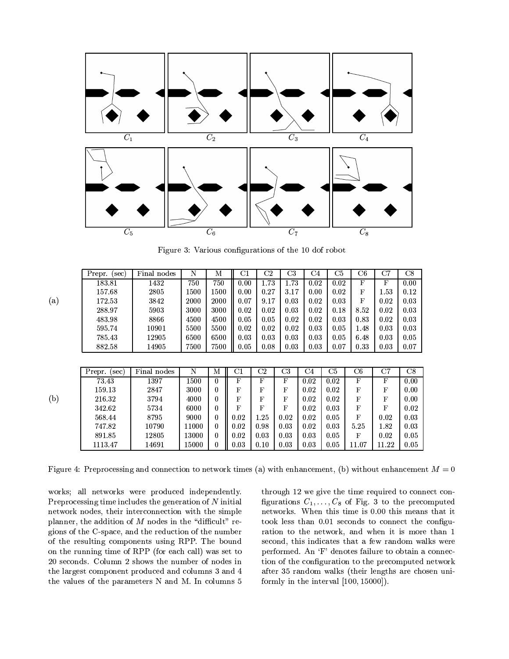

Figure 3: Various configurations of the 10 dof robot

|    | Prepr. (sec) | Final nodes | N     | М              | C <sub>1</sub> | $\operatorname{C2}$ | C <sub>3</sub> | C4   | C5             | C <sub>6</sub> | C7           | C8       |
|----|--------------|-------------|-------|----------------|----------------|---------------------|----------------|------|----------------|----------------|--------------|----------|
|    | 18381        | 1432        | 750   | 750            | 0.00           | 1.73                | 1.73           | 0.02 | 0.02           | F              | $\mathbf{F}$ | 0.00     |
|    | 157.68       | 2805        | 1500  | 1500           | 0.00           | 0.27                | 3.17           | 0.00 | 0.02           | F              | 1.53         | 0.12     |
| ເ) | 172.53       | 3842        | 2000  | 2000           | 0.07           | 9.17                | 0.03           | 0.02 | 0.03           | F              | 0.02         | 0.03     |
|    | 288.97       | 5903        | 3000  | 3000           | 0.02           | 0.02                | 0.03           | 0.02 | 0.18           | 8.52           | 0.02         | 0.03     |
|    | 483.98       | 8866        | 4500  | 4500           | 0.05           | 0.05                | 0.02           | 0.02 | 0.03           | 0.83           | 0.02         | 0.03     |
|    | 595.74       | 10901       | 5500  | 5500           | 0.02           | 0.02                | 0.02           | 0.03 | 0.05           | 1.48           | 0.03         | 0.03     |
|    | 785.43       | 12905       | 6500  | 6500           | 0.03           | 0.03                | 0.03           | 0.03 | 0.05           | 6.48           | 0.03         | $0.05\,$ |
|    | 882.58       | 14905       | 7500  | 7500           | 0.05           | 0.08                | 0.03           | 0.03 | 0.07           | 0.33           | 0.03         | 0.07     |
|    |              |             |       |                |                |                     |                |      |                |                |              |          |
|    | Prepr. (sec) | Final nodes | N     | М              | C <sub>1</sub> | C <sub>2</sub>      | C <sub>3</sub> | C4   | C <sub>5</sub> | C6             | C7           | C8       |
|    | 73.43        | 1397        | 1500  | $\mathbf{0}$   | F              | F                   | F              | 0.02 | 0.02           | F              | F            | 0.00     |
|    | 159.13       | 2847        | 3000  | $\theta$       | F              | F                   | $_{\rm F}$     | 0.02 | 0.02           | F              | F            | 0.00     |
|    | 216.32       | 3794        | 4000  | $\overline{0}$ | F              | F                   | $_{\rm F}$     | 0.02 | 0.02           | F              | $_{\rm F}$   | 0.00     |
|    | 342.62       | 5734        | 6000  | $\theta$       | F              | F                   | $_{\rm F}$     | 0.02 | 0.03           | F              | $_{\rm F}$   | 0.02     |
|    | 568.44       | 8795        | 9000  | $\theta$       | 0.02           | 1.25                | 0.02           | 0.02 | 0.05           | $_{\rm F}$     | 0.02         | 0.03     |
|    | 747.82       | 10790       | 11000 | $\mathbf{0}$   | 0.02           | 0.98                | 0.03           | 0.02 | 0.03           | 5.25           | 1.82         | 0.03     |
|    | 891.85       | 12805       | 13000 | $\mathbf{0}$   | 0.02           | 0.03                | 0.03           | 0.03 | 0.05           | $_{\rm F}$     | 0.02         | 0.05     |
|    | 1113.47      | 14691       | 15000 | $\theta$       | 0.03           | 0.10                | 0.03           | 0.03 | 0.05           | 11.07          | 11.22        | 0.05     |

Figure 4: Preprocessing and connection to network times (a) with enhancement, (b) without enhancement  $M = 0$ 

works: all networks were produced independently. Preprocessing time includes the generation of  $N$  initial network nodes, their interconnection with the simple planner, the addition of  $M$  nodes in the "difficult" regions of the C-space, and the reduction of the number of the resulting components using RPP. The bound on the running time of RPP (for each call) was set to 20 seconds. Column 2 shows the number of nodes in the largest component produced and columns 3 and 4 the values of the parameters N and M. In columns 5

through 12 we give the time required to connect configurations  $C_1, \ldots, C_8$  of Fig. 3 to the precomputed networks. When this time is 0.00 this means that it took less than 0.01 seconds to connect the configuration to the network, and when it is more than 1 second, this indicates that a few random walks were performed. An 'F' denotes failure to obtain a connection of the configuration to the precomputed network after 35 random walks (their lengths are chosen uniformly in the interval  $[100, 15000]$ .

(a

 $(b)$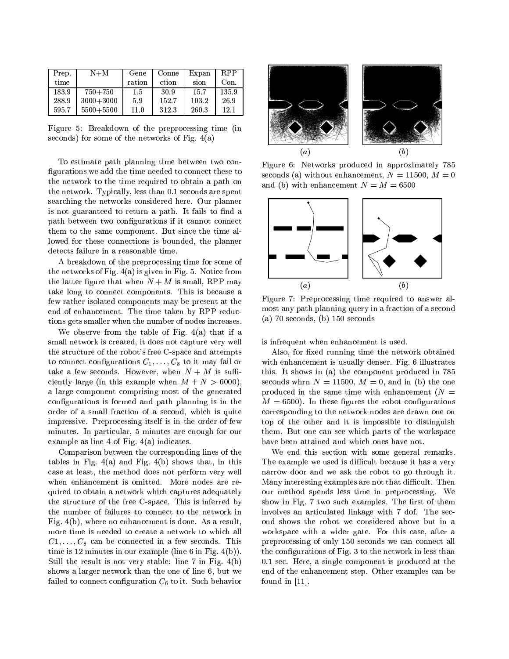| Prep. | $N+M$         | Gene   | Conne | Expan | <b>RPP</b> |
|-------|---------------|--------|-------|-------|------------|
| time  |               | ration | ction | sion  | Con.       |
| 183.9 | $750 + 750$   | 1.5    | 30.9  | 15.7  | 135.9      |
| 288.9 | $3000 + 3000$ | 5.9    | 152.7 | 103.2 | 26.9       |
| 595.7 | $5500 + 5500$ | 11.0   | 3123  | 2603  | 12.1       |

Figure 5: Breakdown of the preprocessing time (in seconds) for some of the networks of Fig.  $4(a)$ 

To estimate path planning time between two configurations we add the time needed to connect these to the network to the time required to obtain a path on the network. Typically, less than 0.1 seconds are spent searching the networks considered here. Our planner is not guaranteed to return a path. It fails to find a path between two configurations if it cannot connect them to the same component. But since the time allowed for these connections is bounded, the planner detects failure in a reasonable time.

A breakdown of the preprocessing time for some of the networks of Fig.  $4(a)$  is given in Fig. 5. Notice from the latter figure that when  $N + M$  is small, RPP may take long to connect components. This is because a few rather isolated components may be present at the end of enhancement. The time taken by RPP reductions gets smaller when the number of nodes increases.

We observe from the table of Fig.  $4(a)$  that if a small network is created, it does not capture very well the structure of the robot's free C-space and attempts to connect configurations  $C_1, \ldots, C_8$  to it may fail or take a few seconds. However, when  $N + M$  is sufficiently large (in this example when  $M + N > 6000$ ), a large component comprising most of the generated configurations is formed and path planning is in the order of a small fraction of a second, which is quite impressive. Preprocessing itself is in the order of few minutes. In particular, 5 minutes are enough for our example as line 4 of Fig.  $4(a)$  indicates.

Comparison between the corresponding lines of the tables in Fig.  $4(a)$  and Fig.  $4(b)$  shows that, in this case at least, the method does not perform very well when enhancement is omitted. More nodes are required to obtain a network which captures adequately the structure of the free C-space. This is inferred by the number of failures to connect to the network in Fig.  $4(b)$ , where no enhancement is done. As a result, more time is needed to create a network to which all  $C_1, \ldots, C_8$  can be connected in a few seconds. This time is 12 minutes in our example (line 6 in Fig.  $4(b)$ ). Still the result is not very stable: line 7 in Fig. 4(b) shows a larger network than the one of line 6, but we failed to connect configuration  $C_6$  to it. Such behavior



Figure 6: Networks produced in approximately 785 seconds (a) without enhancement,  $N = 11500, M = 0$ and (b) with enhancement  $N = M = 6500$ 



Figure 7: Preprocessing time required to answer almost any path planning query in a fraction of a second (a) 70 seconds, (b)  $150$  seconds

is infrequent when enhancement is used.

Also, for fixed running time the network obtained with enhancement is usually denser. Fig. 6 illustrates this. It shows in (a) the component produced in 785 seconds when  $N = 11500$ ,  $M = 0$ , and in (b) the one produced in the same time with enhancement  $(N =$  $M = 6500$ . In these figures the robot configurations corresponding to the network nodes are drawn one on top of the other and it is impossible to distinguish them. But one can see which parts of the workspace have been attained and which ones have not.

We end this section with some general remarks. The example we used is difficult because it has a very narrow door and we ask the robot to go through it. Many interesting examples are not that difficult. Then our method spends less time in preprocessing. We show in Fig. 7 two such examples. The first of them involves an articulated linkage with 7 dof. The second shows the robot we considered above but in a workspace with a wider gate. For this case, after a preprocessing of only 150 seconds we can connect all the configurations of Fig. 3 to the network in less than 0.1 sec. Here, a single component is produced at the end of the enhancement step. Other examples can be found in  $[11]$ .